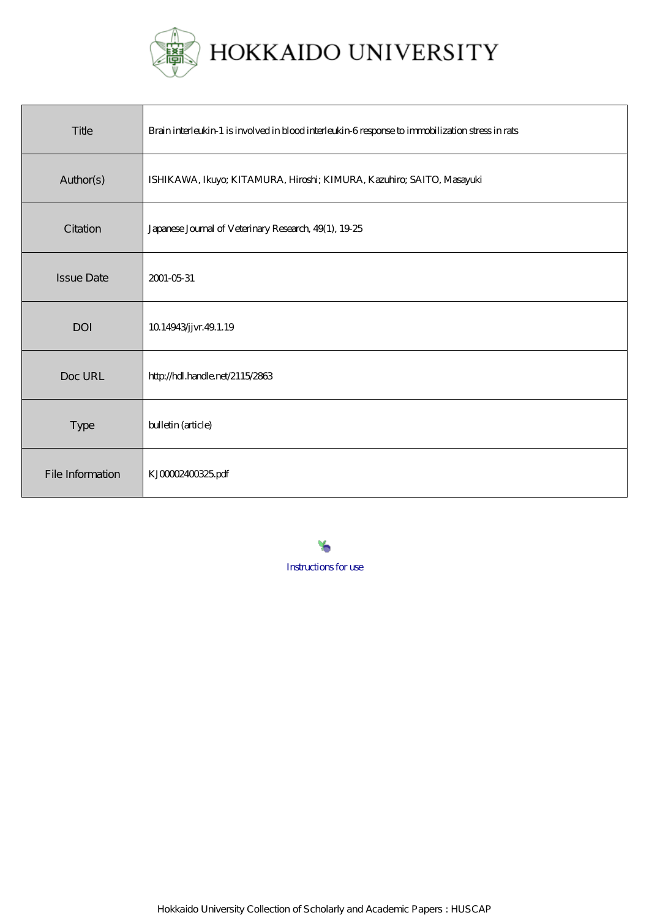

| Title             | Brain interleukin 1 is involved in blood interleukin 6 response to immobilization stress in rats |
|-------------------|--------------------------------------------------------------------------------------------------|
| Author(s)         | ISHIKAWA, Ikuyo; KITAMURA, Hiroshi; KIMURA, Kazuhiro; SAITO, Masayuki                            |
| Citation          | Japanese Journal of Veterinary Research, 49(1), 1925                                             |
| <b>Issue Date</b> | 2001-05-31                                                                                       |
| DOI               | 10.14943/jjvr.49.1.19                                                                            |
| Doc URL           | http://hdl.handle.net/2115/2863                                                                  |
| <b>Type</b>       | bulletin (article)                                                                               |
| File Information  | KJ00002400325pdf                                                                                 |

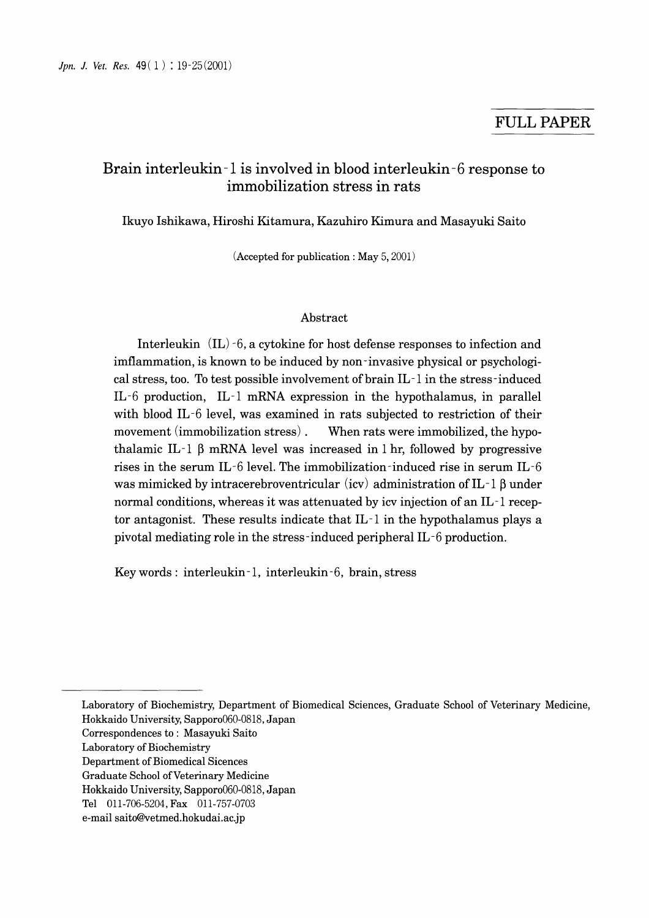## FULL PAPER

# Brain interleukin - 1 is involved in blood interleukin - 6 response to immobilization stress in rats

Ikuyo Ishikawa, Hiroshi Kitamura, Kazuhiro Kimura and Masayuki Saito

(Accepted for publication: May 5, 2001)

### Abstract

Interleukin (IL) -6, a cytokine for host defense responses to infection and imflammation, is known to be induced by non -invasive physical or psychological stress, too. To test possible involvement of brain IL-l in the stress-induced IL-6 production, IL-l mRNA expression in the hypothalamus, in parallel with blood IL-6 level, was examined in rats subjected to restriction of their movement (immobilization stress). When rats were immobilized, the hypothalamic IL-1  $\beta$  mRNA level was increased in 1 hr, followed by progressive rises in the serum IL-6 level. The immobilization -induced rise in serum IL-6 was mimicked by intracerebroventricular (icv) administration of IL-1  $\beta$  under normal conditions, whereas it was attenuated by icv injection of an IL-l receptor antagonist. These results indicate that IL-l in the hypothalamus plays a pivotal mediating role in the stress-induced peripheral IL-6 production.

Key words: interleukin -1, interleukin -6, brain, stress

Laboratory of Biochemistry, Department of Biomedical Sciences, Graduate School of Veterinary Medicine, Hokkaido University, Sapporo060-0818, Japan

Correspondences to: Masayuki Saito

Laboratory of Biochemistry

Department of Biomedical Sicences

Graduate School of Veterinary Medicine

Hokkaido University, Sapporo060-0818, Japan

Tel 011-706-5204, Fax 011-757-0703

e-mail saito@Vetmed.hokudai.ac.jp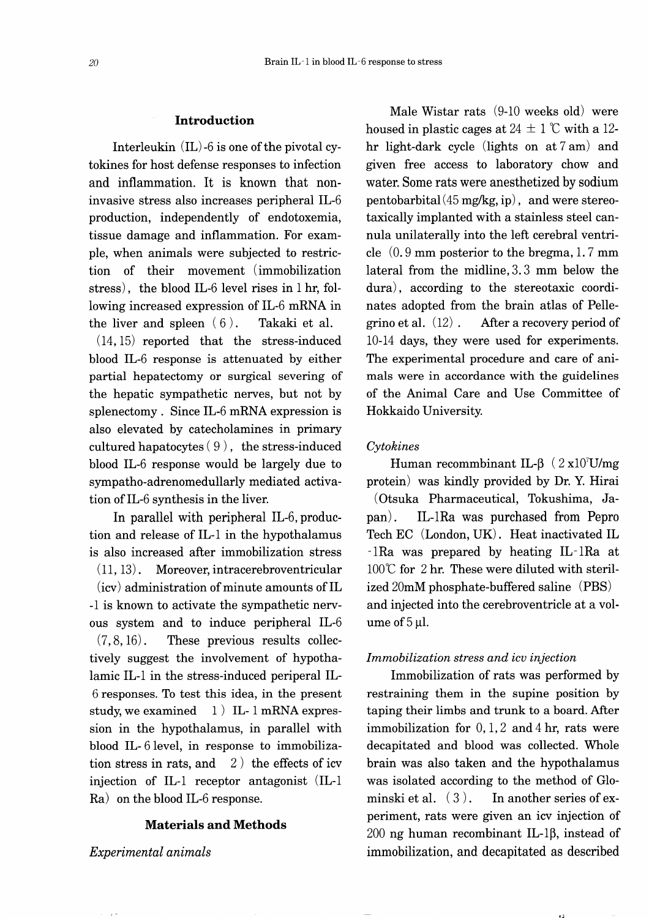#### **Introduction**

Interleukin (IL) -6 is one of the pivotal cytokines for host defense responses to infection and inflammation. It is known that noninvasive stress also increases peripheral IL-6 production, independently of endotoxemia, tissue damage and inflammation. For example, when animals were subjected to restriction of their movement (immobilization stress), the blood IL-6 level rises in 1 hr, following increased expression of IL-6 mRNA in the liver and spleen  $(6)$ . Takaki et al.

(14, 15) reported that the stress-induced blood IL-6 response is attenuated by either partial hepatectomy or surgical severing of the hepatic sympathetic nerves, but not by splenectomy. Since IL-6 mRNA expression is also elevated by catecholamines in primary cultured hapatocytes  $(9)$ , the stress-induced blood IL-6 response would be largely due to sympatho-adrenomedullarly mediated activation ofIL-6 synthesis in the liver.

In parallel with peripheral IL-6, production and release of IL-1 in the hypothalamus is also increased after immobilization stress (11, 13). Moreover, intracerebroventricular (icv) administration of minute amounts of IL -1 is known to activate the sympathetic nervous system and to induce peripheral IL-6  $(7, 8, 16)$ . These previous results collectively suggest the involvement of hypothalamic IL-1 in the stress-induced periperal IL-6 responses. To test this idea, in the present study, we examined  $1)$  IL-1 mRNA expression in the hypothalamus, in parallel with blood IL- 6 level, in response to immobilization stress in rats, and  $2)$  the effects of icv injection of IL-1 receptor antagonist (IL-l Ra) on the blood IL-6 response.

## **Materials and Methods**

#### *Experimental animals*

Male Wistar rats (9-10 weeks old) were housed in plastic cages at  $24 \pm 1$  °C with a 12hr light-dark cycle (lights on at 7 am) and given free access to laboratory chow and water. Some rats were anesthetized by sodium pentobarbital  $(45 \text{ mg/kg}, \text{ip})$ , and were stereotaxically implanted with a stainless steel cannula unilaterally into the left cerebral ventricle (0.9 mm posterior to the bregma, 1.7 mm lateral from the midline, 3. 3 mm below the dura), according to the stereotaxic coordinates adopted from the brain atlas of Pellegrino et al.  $(12)$ . After a recovery period of 10-14 days, they were used for experiments. The experimental procedure and care of animals were in accordance with the guidelines of the Animal Care and Use Committee of Hokkaido University.

### *Cytokines*

 $\text{Human recommbinant IL-}\beta \text{ } (2 \text{ x}10^7 \text{U/mg})$ protein) was kindly provided by Dr. Y. Hirai (Otsuka Pharmaceutical, Tokushima, Japan) . IL-IRa was purchased from Pepro Tech EC (London, UK). Heat inactivated IL -IRa was prepared by heating IL-1Ra at 100℃ for 2 hr. These were diluted with sterilized 20mM phosphate-buffered saline (PBS) and injected into the cerebroventricle at a volume of  $5 \mu$ .

### *Immobilization stress and icu injection*

Immobilization of rats was performed by restraining them in the supine position by taping their limbs and trunk to a board. *Mter*  immobilization for 0,1,2 and 4 hr, rats were decapitated and blood was collected. Whole brain was also taken and the hypothalamus was isolated according to the method of Glominski et al. (3). In another series of experiment, rats were given an icv injection of  $200$  ng human recombinant IL-1 $\beta$ , instead of immobilization, and decapitated as described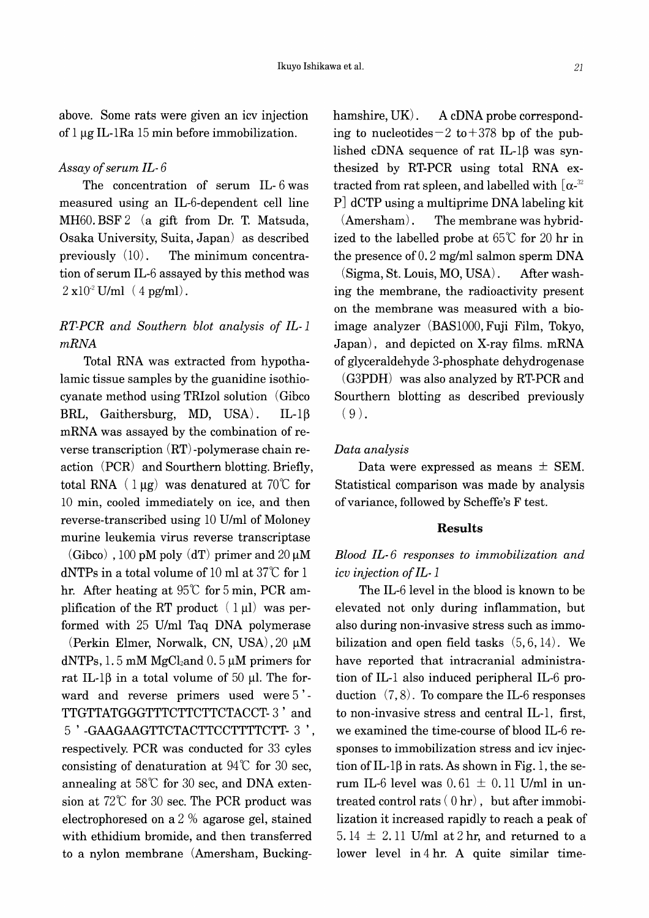above. Some rats were given an icv injection of  $1 \mu$ g IL-1Ra 15 min before immobilization.

## *Assay of serum 1L- 6*

The concentration of serum IL- 6 was measured using an IL-6-dependent cell line MH60. BSF 2 (a gift from Dr. T. Matsuda, Osaka University, Suita, Japan) as described previously  $(10)$ . The minimum concentration of serum IL-6 assayed by this method was  $2 \times 10^{2}$  *V/ml*  $(4 \text{ pg/ml})$ .

## *RT-PCR and Southern blot analysis of 1L-1 mRNA*

Total RNA was extracted from hypothalamic tissue samples by the guanidine isothiocyanate method using TRIzol solution (Gibco BRL, Gaithersburg, MD, USA). IL-1 $\beta$ mRNA was assayed by the combination of reverse transcription (RT) -polymerase chain reaction (PCR) and Sourthern blotting. Briefly, total RNA ( $1 \mu$ g) was denatured at 70°C for 10 min, cooled immediately on ice, and then reverse-transcribed using 10 U/ml of Moloney murine leukemia virus reverse transcriptase (Gibco), 100 pM poly (dT) primer and 20  $\mu$ M

dNTPs in a total volume of 10 ml at  $37^{\circ}$  for 1 hr. After heating at 95°C for 5 min, PCR amplification of the RT product  $(1 \mu l)$  was performed with 25 *Vlml* Taq DNA polymerase

(Perkin Elmer, Norwalk, CN, USA),  $20 \mu M$ dNTPs,  $1.5 \text{ mM } MgCl_2$  and  $0.5 \mu M$  primers for rat IL-1 $\beta$  in a total volume of 50  $\mu$ l. The forward and reverse primers used were 5'-TTGTTATGGGTTTCTTCTTCTACCT- 3 ' and 5 ' -GAAGAAGTTCTACTTCCTTTTCTT- 3 ' , respectively. PCR was conducted for 33 cyles consisting of denaturation at  $94^{\circ}$  for 30 sec, annealing at 58°C for 30 sec, and DNA extension at 72°C for 30 sec. The PCR product was electrophoresed on a 2 % agarose gel, stained with ethidium bromide, and then transferred to a nylon membrane (Amersham, Buckinghamshire, UK). A cDNA probe corresponding to nucleotides  $-2$  to  $+ 378$  bp of the published cDNA sequence of rat IL-1 $\beta$  was synthesized by RT-PCR using total RNA extracted from rat spleen, and labelled with  $\lceil \alpha^{-32} \rceil$ pJ dCTP using a multiprime DNA labeling kit

(Amersham) . The membrane was hybridized to the labelled probe at  $65^{\circ}$  for 20 hr in the presence of 0.2 mg/ml salmon sperm DNA

(Sigma, St. Louis, MO, USA). After washing the membrane, the radioactivity present on the membrane was measured with a bioimage analyzer (BAS1000, Fuji Film, Tokyo, Japan), and depicted on X-ray films. mRNA of glyceraldehyde 3-phosphate dehydrogenase

(G3PDH) was also analyzed by RT-PCR and Sourthern blotting as described previously  $(9)$ .

## *Data analysis*

Data were expressed as means ± SEM. Statistical comparison was made by analysis of variance, followed by Scheffe's F test.

### **Results**

## *Blood 1L-* 6 *responses to immobilization and icu injection of 1L- 1*

The IL-6 level in the blood is known to be elevated not only during inflammation, but also during non-invasive stress such as immobilization and open field tasks  $(5,6,14)$ . We have reported that intracranial administration of IL-1 also induced peripheral IL-6 production  $(7,8)$ . To compare the IL-6 responses to non-invasive stress and central IL-1, first, we examined the time-course of blood IL-6 responses to immobilization stress and icv injection of IL-1 $\beta$  in rats. As shown in Fig. 1, the serum IL-6 level was  $0.61 \pm 0.11$  U/ml in untreated control rats  $(0 \text{ hr})$ , but after immobilization it increased rapidly to reach a peak of 5. 14  $\pm$  2. 11 *V/ml* at 2 hr, and returned to a lower level in 4 hr. A quite similar time-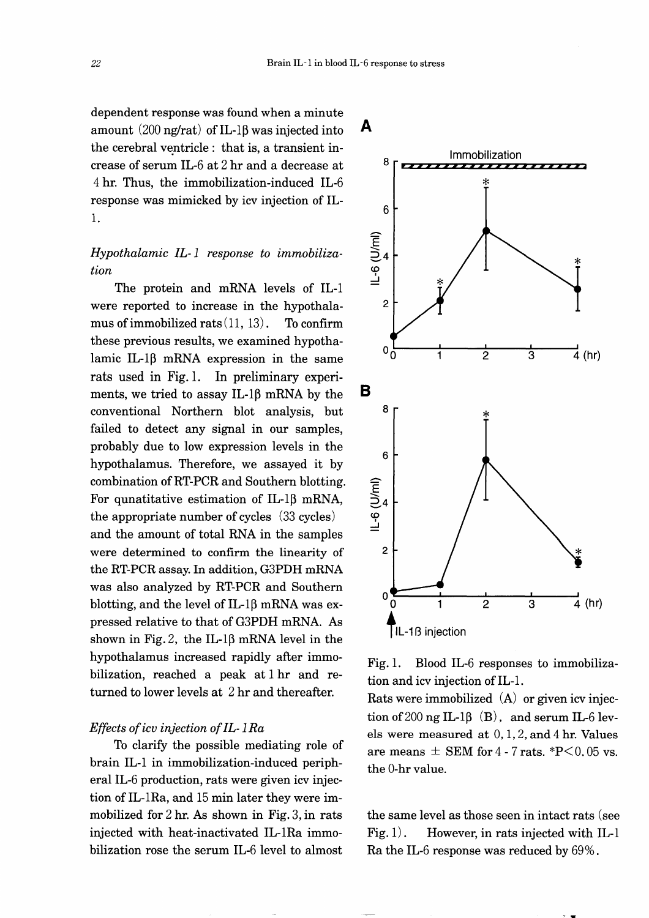dependent response was found when a minute amount  $(200 \text{ ng/rat})$  of IL-16 was injected into the cerebral ventricle: that is, a transient increase of serum IL-6 at 2 hr and a decrease at 4 hr. Thus, the immobilization-induced IL-6 response was mimicked by icv injection of ILl.

# *Hypothalamic lL-1 response to immobilization*

The protein and mRNA levels of IL-l were reported to increase in the hypothalamus of immobilized rats  $(11, 13)$ . To confirm these previous results, we examined hypotha- $1$ amic IL-1 $\beta$  mRNA expression in the same rats used in Fig. I. In preliminary experiments, we tried to assay IL-1 $\beta$  mRNA by the conventional Northern blot analysis, but failed to detect any signal in our samples, probably due to low expression levels in the hypothalamus. Therefore, we assayed it by combination ofRT-PCR and Southern blotting. For qunatitative estimation of IL-1 $\beta$  mRNA, the appropriate number of cycles (33 cycles) and the amount of total RNA in the samples were determined to confirm the linearity of the RT-PCR assay. In addition, G3PDH mRNA was also analyzed by RT-PCR and Southern blotting, and the level of IL-1 $\beta$  mRNA was expressed relative to that of G3PDH mRNA. As shown in Fig. 2, the IL-16 mRNA level in the hypothalamus increased rapidly after immobilization, reached a peak at 1 hr and returned to lower levels at 2 hr and thereafter.

## *Effects of icu injection of lL-1 Ra*

To clarify the possible mediating role of brain IL-1 in immobilization-induced peripheral IL-6 production, rats were given icv injection of IL-1Ra, and 15 min later they were immobilized for 2 hr. As shown in Fig. 3, in rats injected with heat-inactivated IL-IRa immobilization rose the serum IL-6 level to almost



Fig.l. Blood IL-6 responses to immobilization and icv injection of IL-1.

Rats were immobilized (A) or given icv injection of 200 ng IL-1 $\beta$  (B), and serum IL-6 levels were measured at 0,1,2, and 4 hr. Values are means  $\pm$  SEM for 4 - 7 rats. \*P $\leq$  0.05 vs. the O-hr value.

the same level as those seen in intact rats (see Fig. 1). However, in rats injected with IL-l Ra the IL-6 response was reduced by 69%.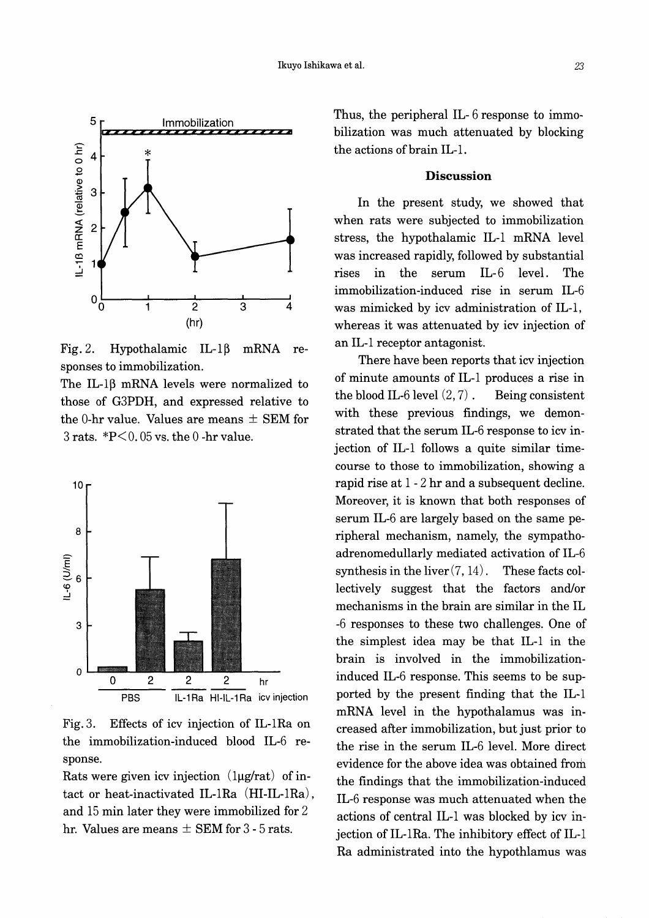

Fig. 2. Hypothalamic IL-1 $\beta$  mRNA responses to immobilization.

The IL-1 $\beta$  mRNA levels were normalized to those of G3PDH, and expressed relative to the 0-hr value. Values are means  $\pm$  SEM for  $3$  rats.  $*P<0.05$  vs. the 0 -hr value.



Fig. 3. Effects of icv injection of IL-IRa on the immobilization-induced blood IL-6 response.

Rats were given icy injection  $(\mu g/rat)$  of intact or heat-inactivated IL-IRa (HI-IL-IRa), and 15 min later they were immobilized for 2 hr. Values are means  $\pm$  SEM for 3 - 5 rats.

Thus, the peripheral IL- 6 response to immobilization was much attenuated by blocking the actions of brain IL-l.

## **Discussion**

In the present study, we showed that when rats were subjected to immobilization stress, the hypothalamic IL-l mRNA level was increased rapidly, followed by substantial rises in the serum IL-6 level. The immobilization-induced rise in serum IL-6 was mimicked by icv administration of IL-l, whereas it was attenuated by icv injection of an IL-l receptor antagonist.

There have been reports that icv injection of minute amounts of IL-l produces a rise in the blood IL-6 level  $(2, 7)$ . Being consistent with these previous findings, we demonstrated that the serum IL-6 response to icv injection of IL-l follows a quite similar timecourse to those to immobilization, showing a rapid rise at 1 - 2 hr and a subsequent decline. Moreover, it is known that both responses of serum IL-6 are largely based on the same peripheral mechanism, namely, the sympathoadrenomedullarly mediated activation of IL-6 synthesis in the liver  $(7, 14)$ . These facts collectively suggest that the factors and/or mechanisms in the brain are similar in the IL -6 responses to these two challenges. One of the simplest idea may be that IL-l in the brain is involved in the immobilizationinduced IL-6 response. This seems to be supported by the present finding that the IL-l mRNA level in the hypothalamus was increased after immobilization, but just prior to the rise in the serum IL-6 level. More direct evidence for the above idea was obtained from the findings that the immobilization-induced IL-6 response was much attenuated when the actions of central IL-l was blocked by icv injection of IL-IRa. The inhibitory effect of IL-l Ra administrated into the hypothlamus was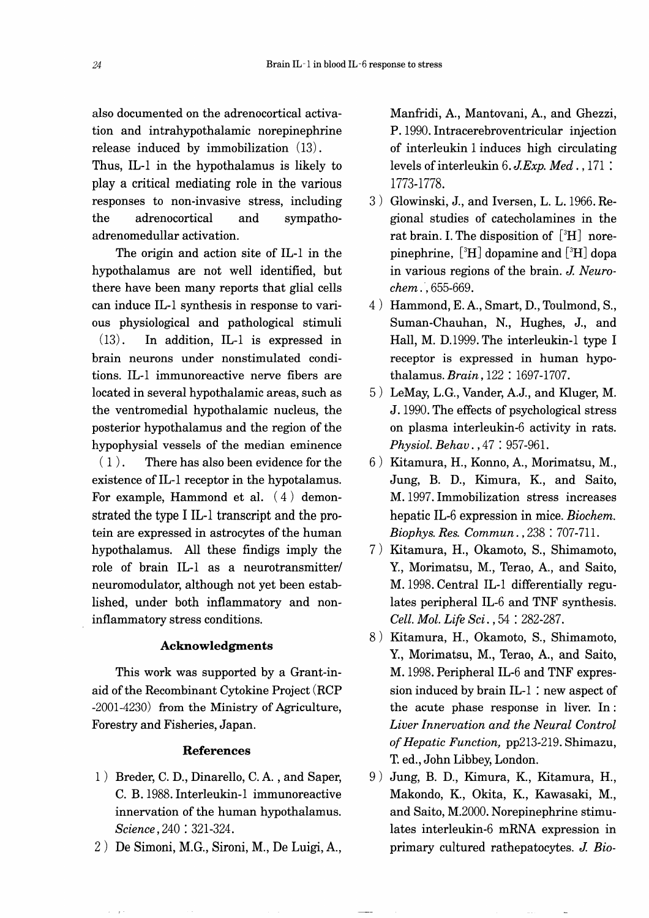also documented on the adrenocortical activation and intrahypothalamic norepinephrine release induced by immobilization (13).

Thus, IL-1 in the hypothalamus is likely to play a critical mediating role in the various responses to non-invasive stress, including the adrenocortical and sympathoadrenomedullar activation.

The origin and action site of IL-1 in the hypothalamus are not well identified, but there have been many reports that glial cells can induce IL-l synthesis in response to various physiological and pathological stimuli (13). In addition, IL-1 is expressed in brain neurons under nonstimulated conditions. IL-l immunoreactive nerve fibers are located in several hypothalamic areas, such as the ventromedial hypothalamic nucleus, the posterior hypothalamus and the region of the hypophysial vessels of the median eminence

 $(1)$ . There has also been evidence for the existence of IL-l receptor in the hypotalamus. For example, Hammond et al. (4) demonstrated the type 1 IL-1 transcript and the protein are expressed in astrocytes of the human hypothalamus. All these findigs imply the role of brain IL-1 as a neurotransmitter/ neuromodulator, although not yet been established, under both inflammatory and noninflammatory stress conditions.

### **Acknowledgments**

This work was supported by a Grant-inaid of the Recombinant Cytokine Project (RCP -2001-4230) from the Ministry of Agriculture, Forestry and Fisheries, Japan.

## **References**

- 1) Breder, C. D., Dinarello, C. A. , and Saper, C. B. 1988. Interleukin-l immunoreactive innervation of the human hypothalamus. *Science,* 240 : 321-324.
- 2) De Simoni, M.G., Sironi, M., De Luigi, A.,

Manfridi, A., Mantovani, A., and Ghezzi, P.1990.Intracerebroventricular injection of interleukin 1 induces high circulating levels of inter leu kin 6. *J.Exp. Med.,* 171 : 1773-1778.

- 3) Glowinski, J., and Iversen, L. L.1966. Regional studies of catecholamines in the rat brain. I. The disposition of  $\lceil \sqrt[3]{H} \rceil$  norepinephrine,  $[{}^{3}H]$  dopamine and  $[{}^{3}H]$  dopa in various regions of the brain. *J. Neurochern.* " 655-669.
- 4) Hammond, E. A., Smart, D., Toulmond, S., Suman-Chauhan, N., Hughes, J., and Hall, M. D.l999. The interleukin-1 type I receptor is expressed in human hypothalamus. *Brain,* 122 : 1697-1707.
- 5) LeMay, L.G., Vander, A.J., and Kluger, M. J. 1990. The effects of psychological stress on plasma interleukin-6 activity in rats. *Physiol. Behav.* ,47 : 957-961.
- 6) Kitamura, H., Konno, A., Morimatsu, M., Jung, B. D., Kimura, K., and Saito, M.1997. Immobilization stress increases hepatic IL-6 expression in mice. *Biochem. Biophys. Res. Commun.* ,238 : 707-711.
- 7) Kitamura, H., Okamoto, S., Shimamoto, Y., Morimatsu, M., Terao, A., and Saito, M.1998. Central IL-1 differentially regulates peripheral IL-6 and TNF synthesis. *Cell. Mol. Life Sci.* ,54 : 282-287.
- 8) Kitamura, H., Okamoto, S., Shimamoto, Y., Morimatsu, M., Terao, A., and Saito, M.1998. Peripheral IL-6 and TNF expression induced by brain IL-1 : new aspect of the acute phase response in liver. In: *Liver Innervation and the Neural Control of Hepatic Function,* pp213-219. Shimazu, T. ed., John Libbey, London.
- 9) Jung, B. D., Kimura, K., Kitamura, H., Makondo, K., Okita, K., Kawasaki, M., and Saito, M.2000. Norepinephrine stimulates interleukin-6 mRNA expression in primary cultured rathepatocytes. *J. Bio-*